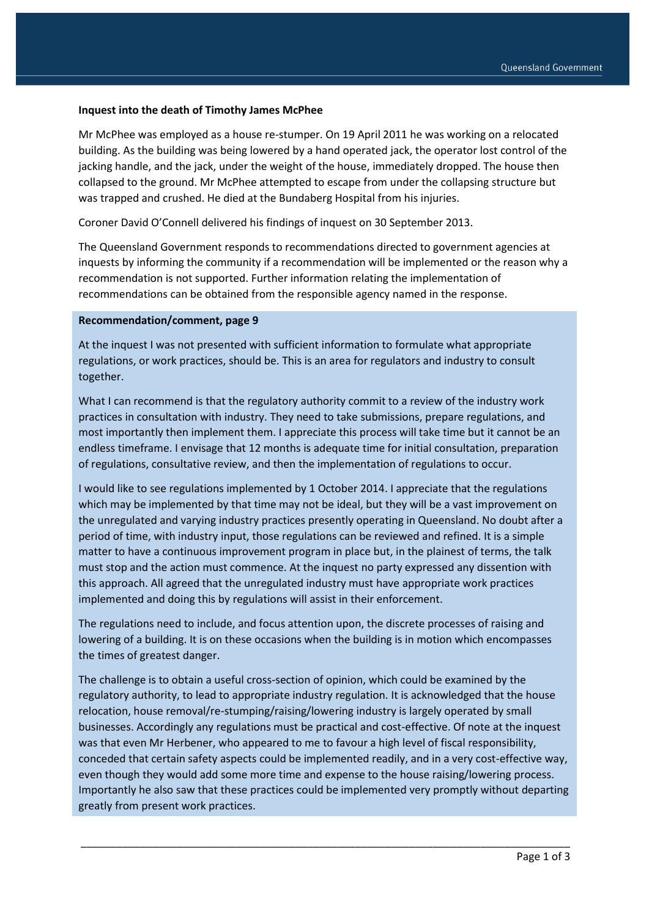## **Inquest into the death of Timothy James McPhee**

Mr McPhee was employed as a house re-stumper. On 19 April 2011 he was working on a relocated building. As the building was being lowered by a hand operated jack, the operator lost control of the jacking handle, and the jack, under the weight of the house, immediately dropped. The house then collapsed to the ground. Mr McPhee attempted to escape from under the collapsing structure but was trapped and crushed. He died at the Bundaberg Hospital from his injuries.

Coroner David O'Connell delivered his findings of inquest on 30 September 2013.

The Queensland Government responds to recommendations directed to government agencies at inquests by informing the community if a recommendation will be implemented or the reason why a recommendation is not supported. Further information relating the implementation of recommendations can be obtained from the responsible agency named in the response.

## **Recommendation/comment, page 9**

At the inquest I was not presented with sufficient information to formulate what appropriate regulations, or work practices, should be. This is an area for regulators and industry to consult together.

What I can recommend is that the regulatory authority commit to a review of the industry work practices in consultation with industry. They need to take submissions, prepare regulations, and most importantly then implement them. I appreciate this process will take time but it cannot be an endless timeframe. I envisage that 12 months is adequate time for initial consultation, preparation of regulations, consultative review, and then the implementation of regulations to occur.

I would like to see regulations implemented by 1 October 2014. I appreciate that the regulations which may be implemented by that time may not be ideal, but they will be a vast improvement on the unregulated and varying industry practices presently operating in Queensland. No doubt after a period of time, with industry input, those regulations can be reviewed and refined. It is a simple matter to have a continuous improvement program in place but, in the plainest of terms, the talk must stop and the action must commence. At the inquest no party expressed any dissention with this approach. All agreed that the unregulated industry must have appropriate work practices implemented and doing this by regulations will assist in their enforcement.

The regulations need to include, and focus attention upon, the discrete processes of raising and lowering of a building. It is on these occasions when the building is in motion which encompasses the times of greatest danger.

The challenge is to obtain a useful cross-section of opinion, which could be examined by the regulatory authority, to lead to appropriate industry regulation. It is acknowledged that the house relocation, house removal/re-stumping/raising/lowering industry is largely operated by small businesses. Accordingly any regulations must be practical and cost-effective. Of note at the inquest was that even Mr Herbener, who appeared to me to favour a high level of fiscal responsibility, conceded that certain safety aspects could be implemented readily, and in a very cost-effective way, even though they would add some more time and expense to the house raising/lowering process. Importantly he also saw that these practices could be implemented very promptly without departing greatly from present work practices.

\_\_\_\_\_\_\_\_\_\_\_\_\_\_\_\_\_\_\_\_\_\_\_\_\_\_\_\_\_\_\_\_\_\_\_\_\_\_\_\_\_\_\_\_\_\_\_\_\_\_\_\_\_\_\_\_\_\_\_\_\_\_\_\_\_\_\_\_\_\_\_\_\_\_\_\_\_\_\_\_\_\_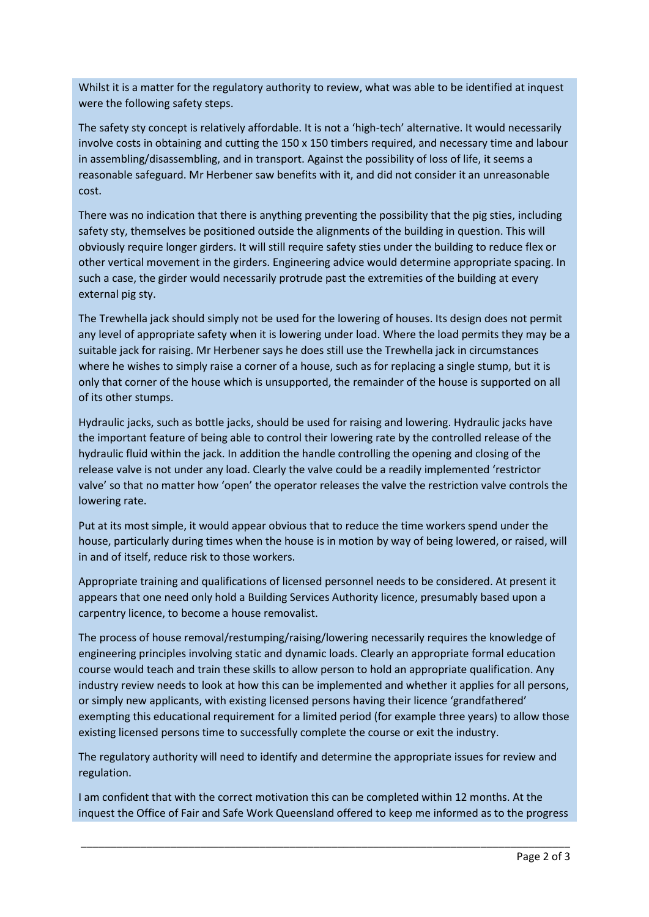Whilst it is a matter for the regulatory authority to review, what was able to be identified at inquest were the following safety steps.

The safety sty concept is relatively affordable. It is not a 'high-tech' alternative. It would necessarily involve costs in obtaining and cutting the 150 x 150 timbers required, and necessary time and labour in assembling/disassembling, and in transport. Against the possibility of loss of life, it seems a reasonable safeguard. Mr Herbener saw benefits with it, and did not consider it an unreasonable cost.

There was no indication that there is anything preventing the possibility that the pig sties, including safety sty, themselves be positioned outside the alignments of the building in question. This will obviously require longer girders. It will still require safety sties under the building to reduce flex or other vertical movement in the girders. Engineering advice would determine appropriate spacing. In such a case, the girder would necessarily protrude past the extremities of the building at every external pig sty.

The Trewhella jack should simply not be used for the lowering of houses. Its design does not permit any level of appropriate safety when it is lowering under load. Where the load permits they may be a suitable jack for raising. Mr Herbener says he does still use the Trewhella jack in circumstances where he wishes to simply raise a corner of a house, such as for replacing a single stump, but it is only that corner of the house which is unsupported, the remainder of the house is supported on all of its other stumps.

Hydraulic jacks, such as bottle jacks, should be used for raising and lowering. Hydraulic jacks have the important feature of being able to control their lowering rate by the controlled release of the hydraulic fluid within the jack. In addition the handle controlling the opening and closing of the release valve is not under any load. Clearly the valve could be a readily implemented 'restrictor valve' so that no matter how 'open' the operator releases the valve the restriction valve controls the lowering rate.

Put at its most simple, it would appear obvious that to reduce the time workers spend under the house, particularly during times when the house is in motion by way of being lowered, or raised, will in and of itself, reduce risk to those workers.

Appropriate training and qualifications of licensed personnel needs to be considered. At present it appears that one need only hold a Building Services Authority licence, presumably based upon a carpentry licence, to become a house removalist.

The process of house removal/restumping/raising/lowering necessarily requires the knowledge of engineering principles involving static and dynamic loads. Clearly an appropriate formal education course would teach and train these skills to allow person to hold an appropriate qualification. Any industry review needs to look at how this can be implemented and whether it applies for all persons, or simply new applicants, with existing licensed persons having their licence 'grandfathered' exempting this educational requirement for a limited period (for example three years) to allow those existing licensed persons time to successfully complete the course or exit the industry.

The regulatory authority will need to identify and determine the appropriate issues for review and regulation.

I am confident that with the correct motivation this can be completed within 12 months. At the inquest the Office of Fair and Safe Work Queensland offered to keep me informed as to the progress

\_\_\_\_\_\_\_\_\_\_\_\_\_\_\_\_\_\_\_\_\_\_\_\_\_\_\_\_\_\_\_\_\_\_\_\_\_\_\_\_\_\_\_\_\_\_\_\_\_\_\_\_\_\_\_\_\_\_\_\_\_\_\_\_\_\_\_\_\_\_\_\_\_\_\_\_\_\_\_\_\_\_